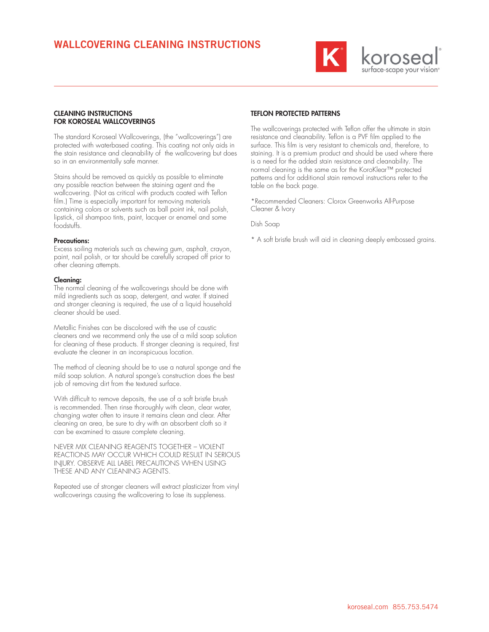

## CLEANING INSTRUCTIONS FOR KOROSEAL WALLCOVERINGS

The standard Koroseal Wallcoverings, (the "wallcoverings") are protected with waterbased coating. This coating not only aids in the stain resistance and cleanability of the wallcovering but does so in an environmentally safe manner.

Stains should be removed as quickly as possible to eliminate any possible reaction between the staining agent and the wallcovering. (Not as critical with products coated with Teflon film.) Time is especially important for removing materials containing colors or solvents such as ball point ink, nail polish, lipstick, oil shampoo tints, paint, lacquer or enamel and some foodstuffs.

### Precautions:

Excess soiling materials such as chewing gum, asphalt, crayon, paint, nail polish, or tar should be carefully scraped off prior to other cleaning attempts.

#### Cleaning:

The normal cleaning of the wallcoverings should be done with mild ingredients such as soap, detergent, and water. If stained and stronger cleaning is required, the use of a liquid household cleaner should be used.

Metallic Finishes can be discolored with the use of caustic cleaners and we recommend only the use of a mild soap solution for cleaning of these products. If stronger cleaning is required, first evaluate the cleaner in an inconspicuous location.

The method of cleaning should be to use a natural sponge and the mild soap solution. A natural sponge's construction does the best job of removing dirt from the textured surface.

With difficult to remove deposits, the use of a soft bristle brush is recommended. Then rinse thoroughly with clean, clear water, changing water often to insure it remains clean and clear. After cleaning an area, be sure to dry with an absorbent cloth so it can be examined to assure complete cleaning.

NEVER MIX CLEANING REAGENTS TOGETHER – VIOLENT REACTIONS MAY OCCUR WHICH COULD RESULT IN SERIOUS INJURY. OBSERVE ALL LABEL PRECAUTIONS WHEN USING THESE AND ANY CLEANING AGENTS.

Repeated use of stronger cleaners will extract plasticizer from vinyl wallcoverings causing the wallcovering to lose its suppleness.

# TEFLON PROTECTED PATTERNS

The wallcoverings protected with Teflon offer the ultimate in stain resistance and cleanability. Teflon is a PVF film applied to the surface. This film is very resistant to chemicals and, therefore, to staining. It is a premium product and should be used where there is a need for the added stain resistance and cleanability. The normal cleaning is the same as for the KoroKlear™ protected patterns and for additional stain removal instructions refer to the table on the back page.

\*Recommended Cleaners: Clorox Greenworks All-Purpose Cleaner & Ivory

Dish Soap

\* A soft bristle brush will aid in cleaning deeply embossed grains.